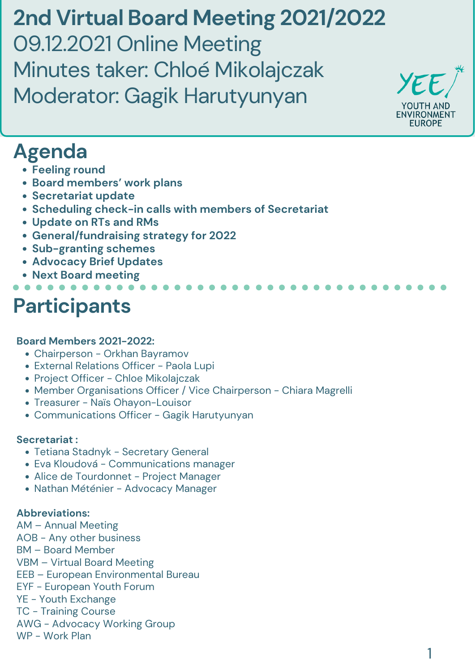- Tetiana Stadnyk Secretary General
- Eva Kloudová Communications manager
- Alice de Tourdonnet Project Manager
- Nathan Méténier Advocacy Manager

#### **Board Members 2021-2022:**

- Chairperson Orkhan Bayramov External Relations Officer - Paola Lupi
- Project Officer Chloe Mikolajczak
- Member Organisations Officer / Vice Chairperson Chiara Magrelli
- Treasurer Naïs Ohayon-Louisor
- Communications Officer Gagik Harutyunyan

#### **Secretariat :**

#### **Abbreviations:**

- AM Annual Meeting
- AOB Any other business
- BM Board Member
- VBM Virtual Board Meeting
- EEB European Environmental Bureau
- EYF European Youth Forum
- YE Youth Exchange
- TC Training Course
- AWG Advocacy Working Group
- WP Work Plan

# **Participants**

**2nd Virtual Board Meeting 2021/2022** 09.12.2021 Online Meeting Minutes taker: Chloé Mikolajczak Moderator: Gagik Harutyunyan

YEE YOUTH AND **ENVIRONMENT EUROPE** 

## **Agenda**

- **Feeling round**
- **Board members' work plans**
- **Secretariat update**
- **Scheduling check-in calls with members of Secretariat**
- **Update on RTs and RMs**
- **General/fundraising strategy for 2022**
- **Sub-granting schemes**
- **Advocacy Brief Updates**
- **Next Board meeting**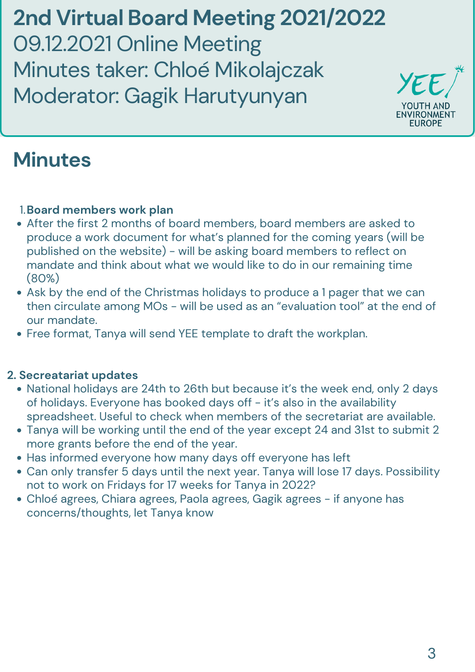- After the first 2 months of board members, board members are asked to produce a work document for what's planned for the coming years (will be published on the website) - will be asking board members to reflect on mandate and think about what we would like to do in our remaining time (80%)
- Ask by the end of the Christmas holidays to produce a 1 pager that we can then circulate among MOs - will be used as an "evaluation tool" at the end of our mandate.
- Free format, Tanya will send YEE template to draft the workplan.

- National holidays are 24th to 26th but because it's the week end, only 2 days of holidays. Everyone has booked days off - it's also in the availability spreadsheet. Useful to check when members of the secretariat are available.
- Tanya will be working until the end of the year except 24 and 31st to submit 2 more grants before the end of the year.
- Has informed everyone how many days off everyone has left
- Can only transfer 5 days until the next year. Tanya will lose 17 days. Possibility not to work on Fridays for 17 weeks for Tanya in 2022?
- Chloé agrees, Chiara agrees, Paola agrees, Gagik agrees if anyone has concerns/thoughts, let Tanya know

### **Board members work plan** 1.

#### **2. Secreatariat updates**

**2nd Virtual Board Meeting 2021/2022** 09.12.2021 Online Meeting Minutes taker: Chloé Mikolajczak Moderator: Gagik Harutyunyan

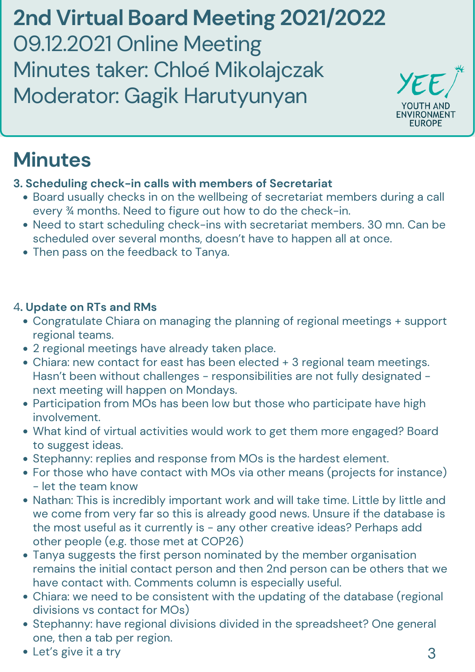- Board usually checks in on the wellbeing of secretariat members during a call every ¾ months. Need to figure out how to do the check-in.
- Need to start scheduling check-ins with secretariat members. 30 mn. Can be scheduled over several months, doesn't have to happen all at once.
- Then pass on the feedback to Tanya.

- Congratulate Chiara on managing the planning of regional meetings + support regional teams.
- 2 regional meetings have already taken place.
- Chiara: new contact for east has been elected + 3 regional team meetings. Hasn't been without challenges - responsibilities are not fully designated next meeting will happen on Mondays. • Participation from MOs has been low but those who participate have high involvement. What kind of virtual activities would work to get them more engaged? Board to suggest ideas. Stephanny: replies and response from MOs is the hardest element. For those who have contact with MOs via other means (projects for instance) - let the team know • Nathan: This is incredibly important work and will take time. Little by little and we come from very far so this is already good news. Unsure if the database is the most useful as it currently is - any other creative ideas? Perhaps add other people (e.g. those met at COP26) Tanya suggests the first person nominated by the member organisation remains the initial contact person and then 2nd person can be others that we have contact with. Comments column is especially useful. Chiara: we need to be consistent with the updating of the database (regional divisions vs contact for MOs) Stephanny: have regional divisions divided in the spreadsheet? One general one, then a tab per region. • Let's give it a try 3

#### **3. Scheduling check-in calls with members of Secretariat**

#### 4**. Update on RTs and RMs**

**2nd Virtual Board Meeting 2021/2022** 09.12.2021 Online Meeting Minutes taker: Chloé Mikolajczak Moderator: Gagik Harutyunyan

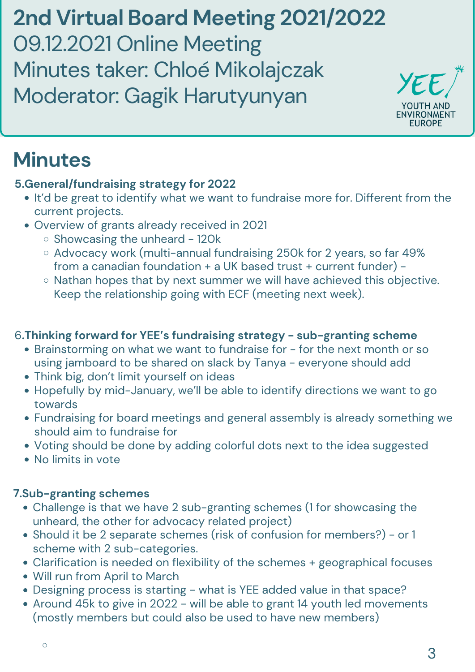- . It'd be great to identify what we want to fundraise more for. Different from the current projects.
- Overview of grants already received in 2021
	- $\circ$  Showcasing the unheard 120k
	- Advocacy work (multi-annual fundraising 250k for 2 years, so far 49% from a canadian foundation + a UK based trust + current funder) -
	- o Nathan hopes that by next summer we will have achieved this objective. Keep the relationship going with ECF (meeting next week).

### **5.General/fundraising strategy for 2022**

#### 6**.Thinking forward for YEE's fundraising strategy - sub-granting scheme**

• Brainstorming on what we want to fundraise for - for the next month or so using jamboard to be shared on slack by Tanya - everyone should add Think big, don't limit yourself on ideas Hopefully by mid-January, we'll be able to identify directions we want to go towards Fundraising for board meetings and general assembly is already something we should aim to fundraise for Voting should be done by adding colorful dots next to the idea suggested • No limits in vote

**2nd Virtual Board Meeting 2021/2022** 09.12.2021 Online Meeting Minutes taker: Chloé Mikolajczak Moderator: Gagik Harutyunyan



- Challenge is that we have 2 sub-granting schemes (1 for showcasing the unheard, the other for advocacy related project)
- Should it be 2 separate schemes (risk of confusion for members?) or 1 scheme with 2 sub-categories.
- Clarification is needed on flexibility of the schemes + geographical focuses
- Will run from April to March
- Designing process is starting what is YEE added value in that space?  $\bullet$
- Around 45k to give in 2022 will be able to grant 14 youth led movements (mostly members but could also be used to have new members)

### **7.Sub-granting schemes**